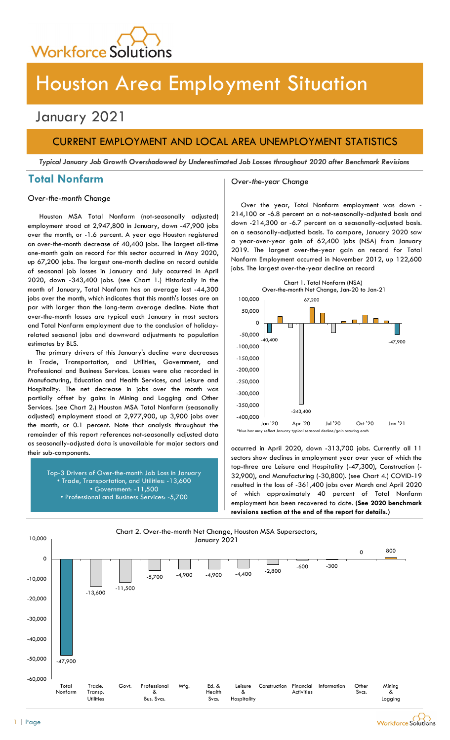

# Houston Area Employment Situation

## January 2021

## CURRENT EMPLOYMENT AND LOCAL AREA UNEMPLOYMENT STATISTICS

Typical January Job Growth Overshadowed by Underestimated Job Losses throughout 2020 after Benchmark Revisions

## Total Nonfarm and Cover-the-year Change

#### Over-the-month Change

Houston MSA Total Nonfarm (not-seasonally adjusted) employment stood at 2,947,800 in January, down -47,900 jobs over the month, or -1.6 percent. A year ago Houston registered an over-the-month decrease of 40,400 jobs. The largest all-time one-month gain on record for this sector occurred in May 2020, up 67,200 jobs. The largest one-month decline on record outside of seasonal job losses in January and July occurred in April 2020, down -343,400 jobs. (see Chart 1.) Historically in the month of January, Total Nonfarm has on average lost -44,300 jobs over the month, which indicates that this month's losses are on par with larger than the long-term average decline. Note that over-the-month losses are typical each January in most sectors and Total Nonfarm employment due to the conclusion of holidayrelated seasonal jobs and downward adjustments to population estimates by BLS.

The primary drivers of this January's decline were decreases in Trade, Transportation, and Utilities, Government, and Professional and Business Services. Losses were also recorded in Manufacturing, Education and Health Services, and Leisure and Hospitality. The net decrease in jobs over the month was partially offset by gains in Mining and Logging and Other Services. (see Chart 2.) Houston MSA Total Nonfarm (seasonally adjusted) employment stood at 2,977,900, up 3,900 jobs over the month, or 0.1 percent. Note that analysis throughout the remainder of this report references not-seasonally adjusted data as seasonally-adjusted data is unavailable for major sectors and their sub-components.

Top-3 Drivers of Over-the-month Job Loss in January • Trade, Transportation, and Utilities: -13,600 Government: -11,500 • Professional and Business Services: -5,700

Over the year, Total Nonfarm employment was down 214,100 or -6.8 percent on a not-seasonally-adjusted basis and down -214,300 or -6.7 percent on a seasonally-adjusted basis. on a seasonally-adjusted basis. To compare, January 2020 saw a year-over-year gain of 62,400 jobs (NSA) from January 2019. The largest over-the-year gain on record for Total Nonfarm Employment occurred in November 2012, up 122,600 jobs. The largest over-the-year decline on record



sectors show declines in employment year over year of which the top-three are Leisure and Hospitality (-47,300), Construction (- 32,900), and Manufacturing (-30,800). (see Chart 4.) COVID-19 resulted in the loss of -361,400 jobs over March and April 2020 of which approximately 40 percent of Total Nonfarm employment has been recovered to date. (See 2020 benchmark revisions section at the end of the report for details.)



# Chart 2. Over-the-month Net Change, Houston MSA Supersectors,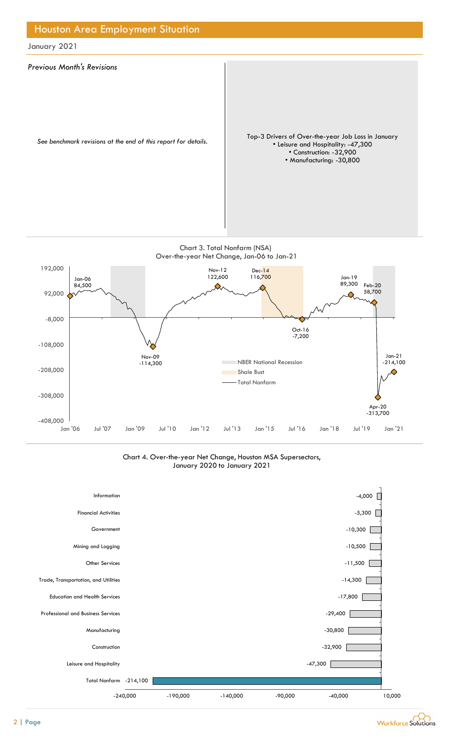



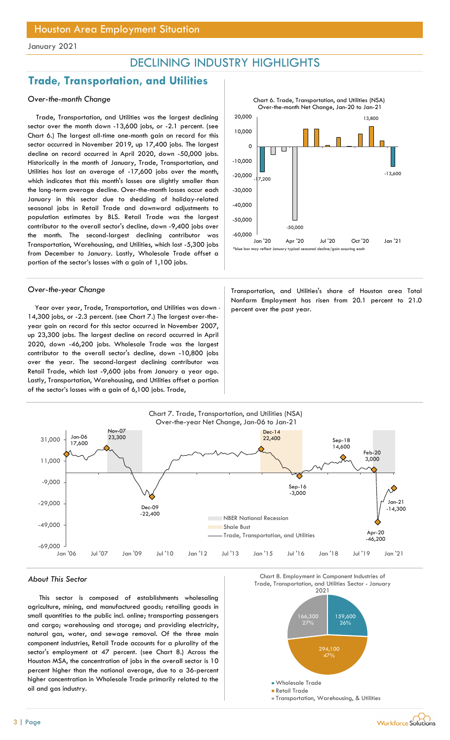## DECLINING INDUSTRY HIGHLIGHTS

## Trade, Transportation, and Utilities

### Over-the-month Change

Trade, Transportation, and Utilities was the largest declining sector over the month down -13,600 jobs, or -2.1 percent. (see Chart 6.) The largest all-time one-month gain on record for this sector occurred in November 2019, up 17,400 jobs. The largest decline on record occurred in April 2020, down -50,000 jobs. Historically in the month of January, Trade, Transportation, and Utilities has lost an average of -17,600 jobs over the month, which indicates that this month's losses are slightly smaller than the long-term average decline. Over-the-month losses occur each January in this sector due to shedding of holiday-related seasonal jobs in Retail Trade and downward adjustments to population estimates by BLS. Retail Trade was the largest contributor to the overall sector's decline, down -9,400 jobs over the month. The second-largest declining contributor was Transportation, Warehousing, and Utilities, which lost -5,300 jobs from December to January. Lastly, Wholesale Trade offset a portion of the sector's losses with a gain of 1,100 jobs.

Year over year, Trade, Transportation, and Utilities was down  $\cdot$  percent over the past year. 14,300 jobs, or -2.3 percent. (see Chart 7.) The largest over-theyear gain on record for this sector occurred in November 2007, up 23,300 jobs. The largest decline on record occurred in April 2020, down -46,200 jobs. Wholesale Trade was the largest contributor to the overall sector's decline, down -10,800 jobs over the year. The second-largest declining contributor was Retail Trade, which lost -9,600 jobs from January a year ago. Lastly, Transportation, Warehousing, and Utilities offset a portion of the sector's losses with a gain of 6,100 jobs. Trade,



Over-the-year Change Transportation, and Utilities's share of Houston area Total Nonfarm Employment has risen from 20.1 percent to 21.0



This sector is composed of establishments wholesaling agriculture, mining, and manufactured goods; retailing goods in small quantities to the public incl. online; transporting passengers and cargo; warehousing and storage; and providing electricity, natural gas, water, and sewage removal. Of the three main component industries, Retail Trade accounts for a plurality of the sector's employment at 47 percent. (see Chart 8.) Across the Houston MSA, the concentration of jobs in the overall sector is 10 percent higher than the national average, due to a 36-percent higher concentration in Wholesale Trade primarily related to the oil and gas industry.

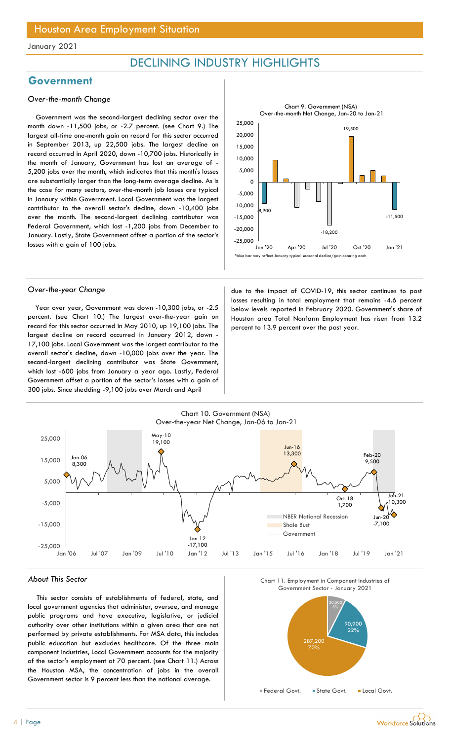## DECLINING INDUSTRY HIGHLIGHTS

## Government

### Over-the-month Change

Government was the second-largest declining sector over the month down -11,500 jobs, or -2.7 percent. (see Chart 9.) The largest all-time one-month gain on record for this sector occurred in September 2013, up 22,500 jobs. The largest decline on record occurred in April 2020, down -10,700 jobs. Historically in the month of January, Government has lost an average of - 5,200 jobs over the month, which indicates that this month's losses are substantially larger than the long-term average decline. As is the case for many sectors, over-the-month job losses are typical in Janaury within Government. Local Government was the largest contributor to the overall sector's decline, down -10,400 jobs over the month. The second-largest declining contributor was Federal Government, which lost -1,200 jobs from December to January. Lastly, State Government offset a portion of the sector's losses with a gain of 100 jobs.

Year over year, Government was down -10,300 jobs, or -2.5 percent. (see Chart 10.) The largest over-the-year gain on record for this sector occurred in May 2010, up 19,100 jobs. The largest decline on record occurred in January 2012, down - 17,100 jobs. Local Government was the largest contributor to the overall sector's decline, down -10,000 jobs over the year. The second-largest declining contributor was State Government, which lost -600 jobs from January a year ago. Lastly, Federal Government offset a portion of the sector's losses with a gain of 300 jobs. Since shedding -9,100 jobs over March and April



Over-the-year Change and the impact of COVID-19, this sector continues to post losses resulting in total employment that remains -4.6 percent below levels reported in February 2020. Government's share of Houston area Total Nonfarm Employment has risen from 13.2 percent to 13.9 percent over the past year.



#### About This Sector

This sector consists of establishments of federal, state, and local government agencies that administer, oversee, and manage public programs and have executive, legislative, or judicial authority over other institutions within a given area that are not performed by private establishments. For MSA data, this includes public education but excludes healthcare. Of the three main component industries, Local Government accounts for the majority of the sector's employment at 70 percent. (see Chart 11.) Across the Houston MSA, the concentration of jobs in the overall Government sector is 9 percent less than the national average.





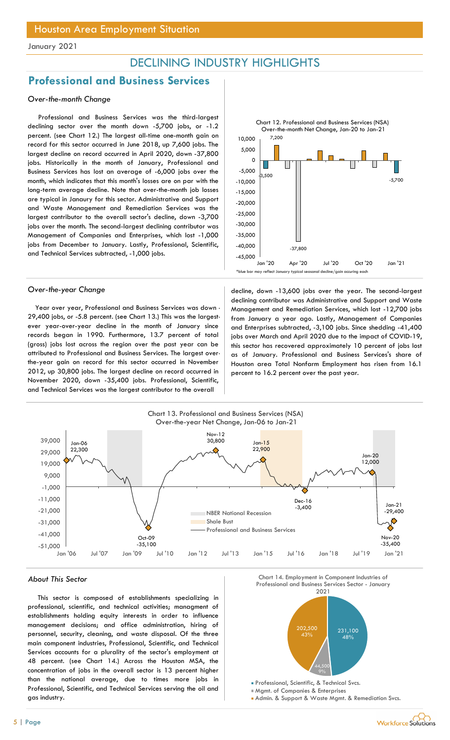## DECLINING INDUSTRY HIGHLIGHTS

## Professional and Business Services

### Over-the-month Change

Professional and Business Services was the third-largest declining sector over the month down -5,700 jobs, or -1.2 percent. (see Chart 12.) The largest all-time one-month gain on record for this sector occurred in June 2018, up 7,600 jobs. The largest decline on record occurred in April 2020, down -37,800 jobs. Historically in the month of January, Professional and Business Services has lost an average of -6,000 jobs over the month, which indicates that this month's losses are on par with the long-term average decline. Note that over-the-month job losses are typical in Janaury for this sector. Administrative and Support and Waste Management and Remediation Services was the largest contributor to the overall sector's decline, down -3,700 jobs over the month. The second-largest declining contributor was Management of Companies and Enterprises, which lost -1,000 jobs from December to January. Lastly, Professional, Scientific, and Technical Services subtracted, -1,000 jobs.

Year over year, Professional and Business Services was down - 29,400 jobs, or -5.8 percent. (see Chart 13.) This was the largestever year-over-year decline in the month of January since records began in 1990. Furthermore, 13.7 percent of total (gross) jobs lost across the region over the past year can be attributed to Professional and Business Services. The largest overthe-year gain on record for this sector occurred in November 2012, up 30,800 jobs. The largest decline on record occurred in November 2020, down -35,400 jobs. Professional, Scientific, and Technical Services was the largest contributor to the overall



Over-the-year Change and a second-largest decline, down -13,600 jobs over the year. The second-largest declining contributor was Administrative and Support and Waste Management and Remediation Services, which lost -12,700 jobs from January a year ago. Lastly, Management of Companies and Enterprises subtracted, -3,100 jobs. Since shedding -41,400 jobs over March and April 2020 due to the impact of COVID-19, this sector has recovered approximately 10 percent of jobs lost as of January. Professional and Business Services's share of Houston area Total Nonfarm Employment has risen from 16.1 percent to 16.2 percent over the past year.



This sector is composed of establishments specializing in professional, scientific, and technical activities; managment of establishments holding equity interests in order to influence management decisions; and office administration, hiring of personnel, security, cleaning, and waste disposal. Of the three main component industries, Professional, Scientific, and Technical Services accounts for a plurality of the sector's employment at 48 percent. (see Chart 14.) Across the Houston MSA, the concentration of jobs in the overall sector is 13 percent higher than the national average, due to times more jobs in Professional, Scientific, and Technical Services serving the oil and gas industry.





Mgmt. of Companies & Enterprises

Admin. & Support & Waste Mgmt. & Remediation Svcs.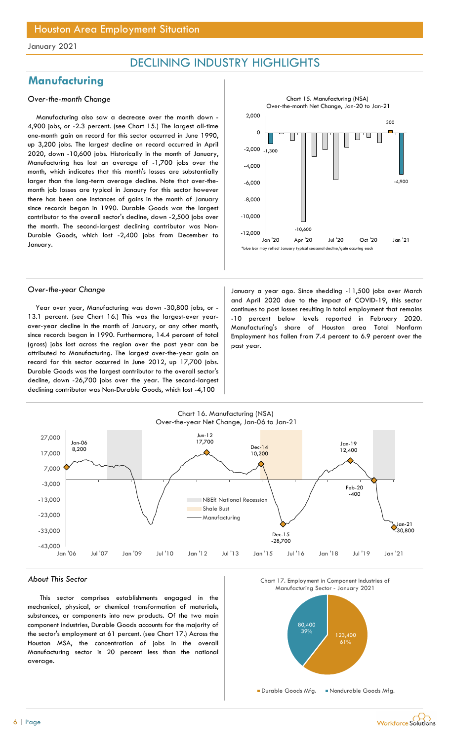## DECLINING INDUSTRY HIGHLIGHTS

## **Manufacturing**

### Over-the-month Change

Manufacturing also saw a decrease over the month down - 4,900 jobs, or -2.3 percent. (see Chart 15.) The largest all-time one-month gain on record for this sector occurred in June 1990, up 3,200 jobs. The largest decline on record occurred in April 2020, down -10,600 jobs. Historically in the month of January, Manufacturing has lost an average of -1,700 jobs over the month, which indicates that this month's losses are substantially larger than the long-term average decline. Note that over-themonth job losses are typical in Janaury for this sector however there has been one instances of gains in the month of January since records began in 1990. Durable Goods was the largest contributor to the overall sector's decline, down -2,500 jobs over the month. The second-largest declining contributor was Non-Durable Goods, which lost -2,400 jobs from December to January.



Year over year, Manufacturing was down -30,800 jobs, or - 13.1 percent. (see Chart 16.) This was the largest-ever yearover-year decline in the month of January, or any other month, since records began in 1990. Furthermore, 14.4 percent of total (gross) jobs lost across the region over the past year can be attributed to Manufacturing. The largest over-the-year gain on record for this sector occurred in June 2012, up 17,700 jobs. Durable Goods was the largest contributor to the overall sector's decline, down -26,700 jobs over the year. The second-largest declining contributor was Non-Durable Goods, which lost -4,100

Over-the-year Change The State of Tanuary a year ago. Since shedding -11,500 jobs over March and April 2020 due to the impact of COVID-19, this sector continues to post losses resulting in total employment that remains -10 percent below levels reported in February 2020. Manufacturing's share of Houston area Total Nonfarm Employment has fallen from 7.4 percent to 6.9 percent over the past year.



#### About This Sector

This sector comprises establishments engaged in the mechanical, physical, or chemical transformation of materials, substances, or components into new products. Of the two main component industries, Durable Goods accounts for the majority of the sector's employment at 61 percent. (see Chart 17.) Across the Houston MSA, the concentration of jobs in the overall Manufacturing sector is 20 percent less than the national average.



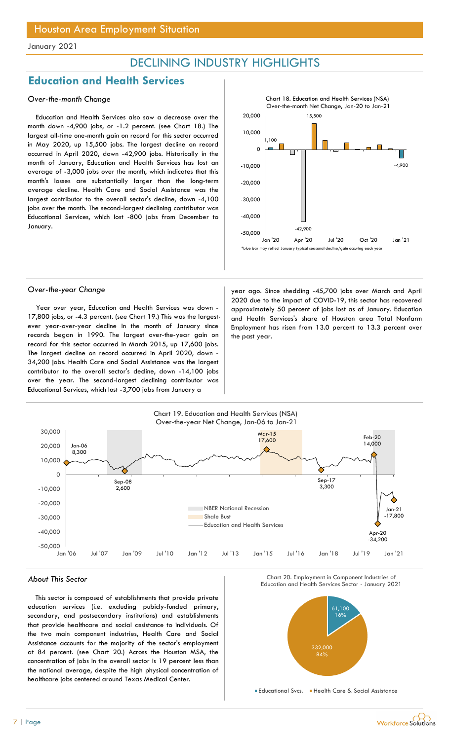## DECLINING INDUSTRY HIGHLIGHTS

## Education and Health Services

### Over-the-month Change

Education and Health Services also saw a decrease over the month down -4,900 jobs, or -1.2 percent. (see Chart 18.) The largest all-time one-month gain on record for this sector occurred in May 2020, up 15,500 jobs. The largest decline on record occurred in April 2020, down -42,900 jobs. Historically in the month of January, Education and Health Services has lost an average of -3,000 jobs over the month, which indicates that this month's losses are substantially larger than the long-term average decline. Health Care and Social Assistance was the largest contributor to the overall sector's decline, down -4,100 jobs over the month. The second-largest declining contributor was Educational Services, which lost -800 jobs from December to January.



Year over year, Education and Health Services was down - 17,800 jobs, or -4.3 percent. (see Chart 19.) This was the largestever year-over-year decline in the month of January since records began in 1990. The largest over-the-year gain on record for this sector occurred in March 2015, up 17,600 jobs. The largest decline on record occurred in April 2020, down - 34,200 jobs. Health Care and Social Assistance was the largest contributor to the overall sector's decline, down -14,100 jobs over the year. The second-largest declining contributor was Educational Services, which lost -3,700 jobs from January a

Over-the-year Change and South and April (year ago. Since shedding -45,700 jobs over March and April 2020 due to the impact of COVID-19, this sector has recovered approximately 50 percent of jobs lost as of January. Education and Health Services's share of Houston area Total Nonfarm Employment has risen from 13.0 percent to 13.3 percent over the past year.



#### About This Sector

This sector is composed of establishments that provide private education services (i.e. excluding pubicly-funded primary, secondary, and postsecondary institutions) and establishments that provide healthcare and social assistance to individuals. Of the two main component industries, Health Care and Social Assistance accounts for the majority of the sector's employment at 84 percent. (see Chart 20.) Across the Houston MSA, the concentration of jobs in the overall sector is 19 percent less than the national average, despite the high physical concentration of healthcare jobs centered around Texas Medical Center.





**Educational Svcs.** Health Care & Social Assistance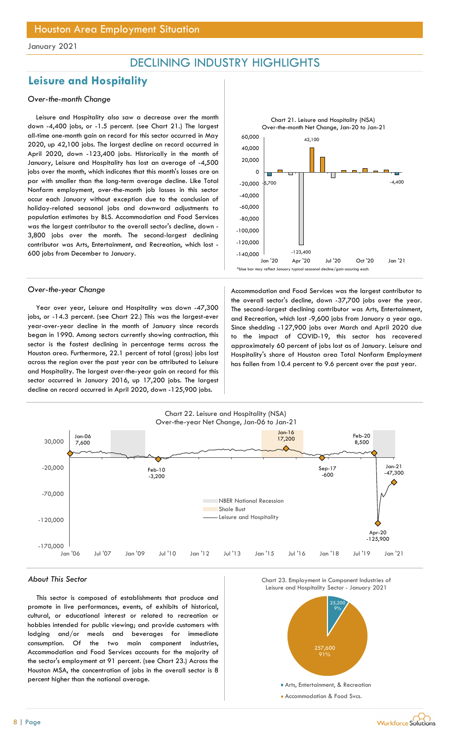## DECLINING INDUSTRY HIGHLIGHTS

## Leisure and Hospitality

### Over-the-month Change

Leisure and Hospitality also saw a decrease over the month down -4,400 jobs, or -1.5 percent. (see Chart 21.) The largest all-time one-month gain on record for this sector occurred in May 2020, up 42,100 jobs. The largest decline on record occurred in April 2020, down -123,400 jobs. Historically in the month of January, Leisure and Hospitality has lost an average of -4,500 jobs over the month, which indicates that this month's losses are on par with smaller than the long-term average decline. Like Total Nonfarm employment, over-the-month job losses in this sector occur each January without exception due to the conclusion of holiday-related seasonal jobs and downward adjustments to population estimates by BLS. Accommodation and Food Services was the largest contributor to the overall sector's decline, down - 3,800 jobs over the month. The second-largest declining contributor was Arts, Entertainment, and Recreation, which lost - 600 jobs from December to January.

Year over year, Leisure and Hospitality was down -47,300 jobs, or -14.3 percent. (see Chart 22.) This was the largest-ever year-over-year decline in the month of January since records began in 1990. Among sectors currently showing contraction, this sector is the fastest declining in percentage terms across the Houston area. Furthermore, 22.1 percent of total (gross) jobs lost across the region over the past year can be attributed to Leisure and Hospitality. The largest over-the-year gain on record for this sector occurred in January 2016, up 17,200 jobs. The largest decline on record occurred in April 2020, down -125,900 jobs.



Over-the-year Change and Theorem Accommodation and Food Services was the largest contributor to the overall sector's decline, down -37,700 jobs over the year. The second-largest declining contributor was Arts, Entertainment, and Recreation, which lost -9,600 jobs from January a year ago. Since shedding -127,900 jobs over March and April 2020 due to the impact of COVID-19, this sector has recovered approximately 60 percent of jobs lost as of January. Leisure and Hospitality's share of Houston area Total Nonfarm Employment has fallen from 10.4 percent to 9.6 percent over the past year.



#### About This Sector

This sector is composed of establishments that produce and promote in live performances, events, of exhibits of historical, cultural, or educational interest or related to recreation or hobbies intended for public viewing; and provide customers with lodging and/or meals and beverages for immediate consumption. Of the two main component industries, Accommodation and Food Services accounts for the majority of the sector's employment at 91 percent. (see Chart 23.) Across the Houston MSA, the concentration of jobs in the overall sector is 8 percent higher than the national average.





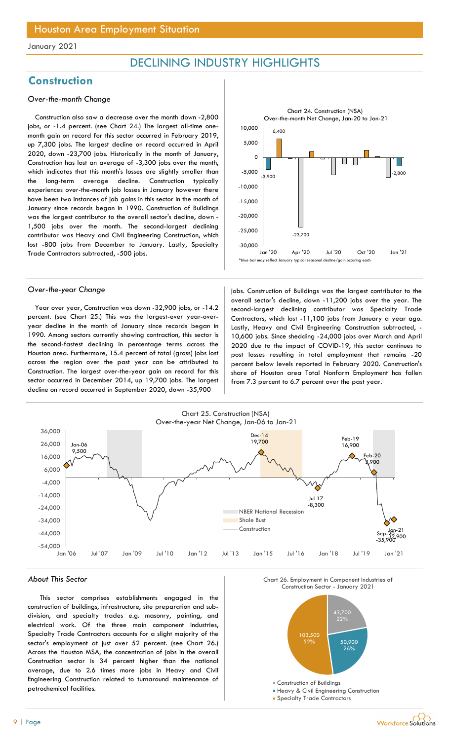## DECLINING INDUSTRY HIGHLIGHTS

## **Construction**

### Over-the-month Change

Construction also saw a decrease over the month down -2,800 jobs, or -1.4 percent. (see Chart 24.) The largest all-time onemonth gain on record for this sector occurred in February 2019, up 7,300 jobs. The largest decline on record occurred in April 2020, down -23,700 jobs. Historically in the month of January, Construction has lost an average of -3,300 jobs over the month, which indicates that this month's losses are slightly smaller than the long-term average decline. Construction typically experiences over-the-month job losses in January however there have been two instances of job gains in this sector in the month of January since records began in 1990. Construction of Buildings was the largest contributor to the overall sector's decline, down - 1,500 jobs over the month. The second-largest declining contributor was Heavy and Civil Engineering Construction, which lost -800 jobs from December to January. Lastly, Specialty Trade Contractors subtracted, -500 jobs.

Year over year, Construction was down -32,900 jobs, or -14.2 percent. (see Chart 25.) This was the largest-ever year-overyear decline in the month of January since records began in 1990. Among sectors currently showing contraction, this sector is the second-fastest declining in percentage terms across the Houston area. Furthermore, 15.4 percent of total (gross) jobs lost across the region over the past year can be attributed to Construction. The largest over-the-year gain on record for this sector occurred in December 2014, up 19,700 jobs. The largest decline on record occurred in September 2020, down -35,900



Over-the-year Change in the state of a policies in the jobs. Construction of Buildings was the largest contributor to the overall sector's decline, down -11,200 jobs over the year. The second-largest declining contributor was Specialty Trade Contractors, which lost -11,100 jobs from January a year ago. Lastly, Heavy and Civil Engineering Construction subtracted, - 10,600 jobs. Since shedding -24,000 jobs over March and April 2020 due to the impact of COVID-19, this sector continues to post losses resulting in total employment that remains -20 percent below levels reported in February 2020. Construction's share of Houston area Total Nonfarm Employment has fallen from 7.3 percent to 6.7 percent over the past year.



#### About This Sector

This sector comprises establishments engaged in the construction of buildings, infrastructure, site preparation and subdivision, and specialty trades e.g. masonry, painting, and electrical work. Of the three main component industries, Specialty Trade Contractors accounts for a slight majority of the sector's employment at just over 52 percent. (see Chart 26.) Across the Houston MSA, the concentration of jobs in the overall Construction sector is 34 percent higher than the national average, due to 2.6 times more jobs in Heavy and Civil Engineering Construction related to turnaround maintenance of petrochemical facilities.





- 
- **Specialty Trade Contractors**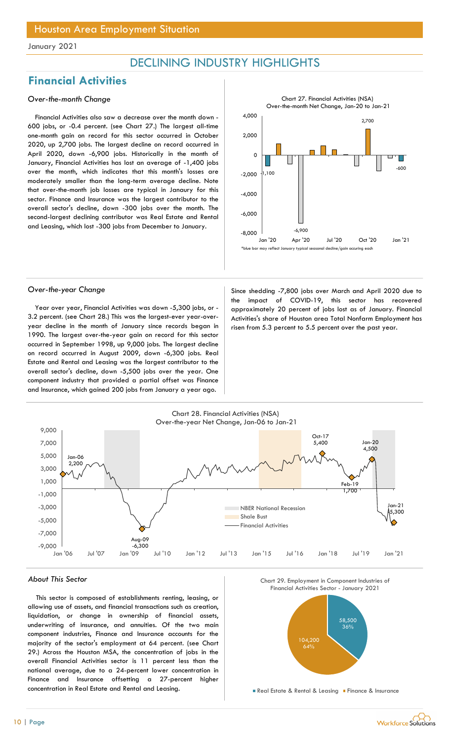## DECLINING INDUSTRY HIGHLIGHTS

## Financial Activities

### Over-the-month Change

Financial Activities also saw a decrease over the month down - 600 jobs, or -0.4 percent. (see Chart 27.) The largest all-time one-month gain on record for this sector occurred in October 2020, up 2,700 jobs. The largest decline on record occurred in April 2020, down -6,900 jobs. Historically in the month of January, Financial Activities has lost an average of -1,400 jobs over the month, which indicates that this month's losses are moderately smaller than the long-term average decline. Note that over-the-month job losses are typical in Janaury for this sector. Finance and Insurance was the largest contributor to the overall sector's decline, down -300 jobs over the month. The second-largest declining contributor was Real Estate and Rental and Leasing, which lost -300 jobs from December to January.



Year over year, Financial Activities was down -5,300 jobs, or - 3.2 percent. (see Chart 28.) This was the largest-ever year-overyear decline in the month of January since records began in 1990. The largest over-the-year gain on record for this sector occurred in September 1998, up 9,000 jobs. The largest decline on record occurred in August 2009, down -6,300 jobs. Real Estate and Rental and Leasing was the largest contributor to the overall sector's decline, down -5,500 jobs over the year. One component industry that provided a partial offset was Finance and Insurance, which gained 200 jobs from January a year ago.

Over-the-year Change Since shedding -7,800 jobs over March and April 2020 due to the impact of COVID-19, this sector has recovered approximately 20 percent of jobs lost as of January. Financial Activities's share of Houston area Total Nonfarm Employment has risen from 5.3 percent to 5.5 percent over the past year.



#### About This Sector

This sector is composed of establishments renting, leasing, or allowing use of assets, and financial transactions such as creation, liquidation, or change in ownership of financial assets, underwriting of insurance, and annuities. Of the two main component industries, Finance and Insurance accounts for the majority of the sector's employment at 64 percent. (see Chart 29.) Across the Houston MSA, the concentration of jobs in the overall Financial Activities sector is 11 percent less than the national average, due to a 24-percent lower concentration in Finance and Insurance offsetting a 27-percent higher concentration in Real Estate and Rental and Leasing.

Chart 29. Employment in Component Industries of



Real Estate & Rental & Leasing Finance & Insurance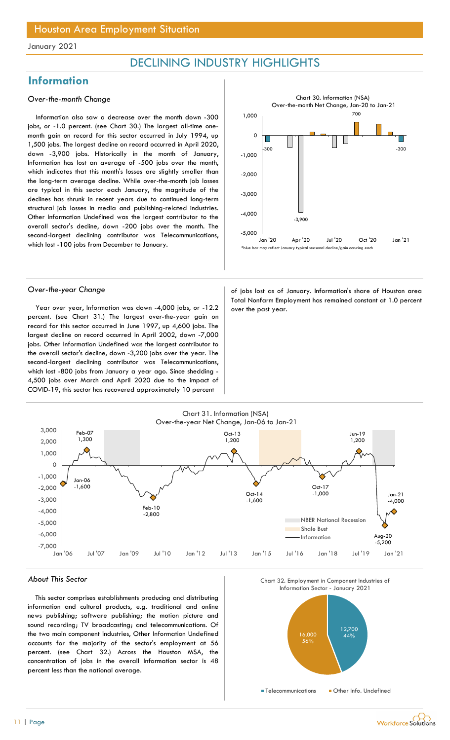## DECLINING INDUSTRY HIGHLIGHTS

## Information

#### Over-the-month Change

Information also saw a decrease over the month down -300 jobs, or -1.0 percent. (see Chart 30.) The largest all-time onemonth gain on record for this sector occurred in July 1994, up 1,500 jobs. The largest decline on record occurred in April 2020, down -3,900 jobs. Historically in the month of January, Information has lost an average of -500 jobs over the month, which indicates that this month's losses are slightly smaller than the long-term average decline. While over-the-month job losses are typical in this sector each January, the magnitude of the declines has shrunk in recent years due to continued long-term structural job losses in media and publishing-related industries. Other Information Undefined was the largest contributor to the overall sector's decline, down -200 jobs over the month. The second-largest declining contributor was Telecommunications, which lost -100 jobs from December to January.



Year over year, Information was down -4,000 jobs, or  $-12.2$  over the past year. percent. (see Chart 31.) The largest over-the-year gain on record for this sector occurred in June 1997, up 4,600 jobs. The largest decline on record occurred in April 2002, down -7,000 jobs. Other Information Undefined was the largest contributor to the overall sector's decline, down -3,200 jobs over the year. The second-largest declining contributor was Telecommunications, which lost -800 jobs from January a year ago. Since shedding - 4,500 jobs over March and April 2020 due to the impact of COVID-19, this sector has recovered approximately 10 percent

Over-the-year Change and a state of jobs lost as of January. Information's share of Houston area Total Nonfarm Employment has remained constant at 1.0 percent



#### About This Sector

This sector comprises establishments producing and distributing information and cultural products, e.g. traditional and online news publishing; software publishing; the motion picture and sound recording; TV broadcasting; and telecommunications. Of the two main component industries, Other Information Undefined accounts for the majority of the sector's employment at 56 percent. (see Chart 32.) Across the Houston MSA, the concentration of jobs in the overall Information sector is 48 percent less than the national average.





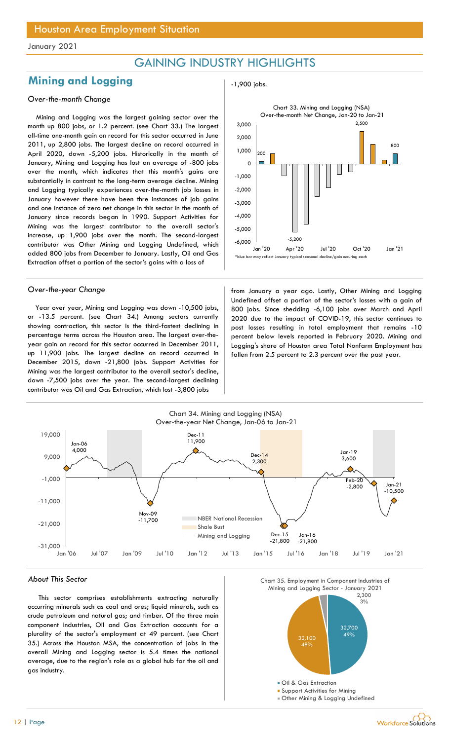## GAINING INDUSTRY HIGHLIGHTS

## Mining and Logging and Logging and Logging and the state of  $\frac{1}{2}$  . 1,900 jobs.

### Over-the-month Change

Mining and Logging was the largest gaining sector over the month up 800 jobs, or 1.2 percent. (see Chart 33.) The largest all-time one-month gain on record for this sector occurred in June 2011, up 2,800 jobs. The largest decline on record occurred in April 2020, down -5,200 jobs. Historically in the month of January, Mining and Logging has lost an average of -800 jobs over the month, which indicates that this month's gains are substantially in contrast to the long-term average decline. Mining and Logging typically experiences over-the-month job losses in January however there have been thre instances of job gains and one instance of zero net change in this sector in the month of January since records began in 1990. Support Activities for Mining was the largest contributor to the overall sector's increase, up 1,900 jobs over the month. The second-largest contributor was Other Mining and Logging Undefined, which added 800 jobs from December to January. Lastly, Oil and Gas Extraction offset a portion of the sector's gains with a loss of

Year over year, Mining and Logging was down -10,500 jobs, or -13.5 percent. (see Chart 34.) Among sectors currently showing contraction, this sector is the third-fastest declining in percentage terms across the Houston area. The largest over-theyear gain on record for this sector occurred in December 2011, up 11,900 jobs. The largest decline on record occurred in December 2015, down -21,800 jobs. Support Activities for Mining was the largest contributor to the overall sector's decline, down -7,500 jobs over the year. The second-largest declining contributor was Oil and Gas Extraction, which lost -3,800 jobs





Over-the-year Change from January a year ago. Lastly, Other Mining and Logging Undefined offset a portion of the sector's losses with a gain of 800 jobs. Since shedding -6,100 jobs over March and April 2020 due to the impact of COVID-19, this sector continues to post losses resulting in total employment that remains -10 percent below levels reported in February 2020. Mining and Logging's share of Houston area Total Nonfarm Employment has fallen from 2.5 percent to 2.3 percent over the past year.



#### About This Sector

This sector comprises establishments extracting naturally occurring minerals such as coal and ores; liquid minerals, such as crude petroleum and natural gas; and timber. Of the three main component industries, Oil and Gas Extraction accounts for a plurality of the sector's employment at 49 percent. (see Chart 35.) Across the Houston MSA, the concentration of jobs in the overall Mining and Logging sector is 5.4 times the national average, due to the region's role as a global hub for the oil and gas industry.

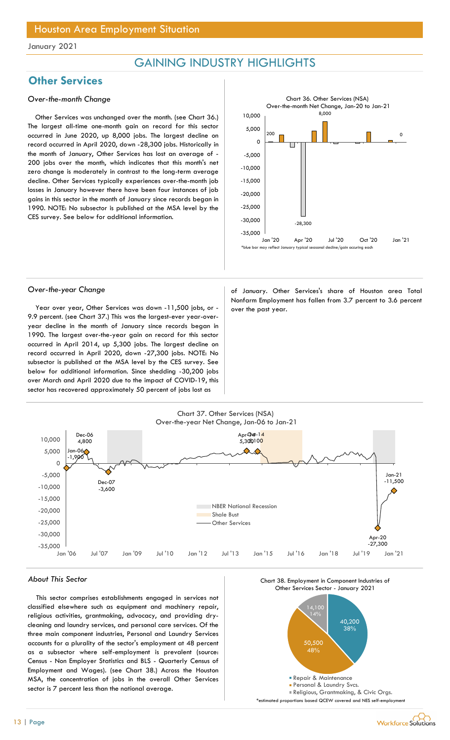## GAINING INDUSTRY HIGHLIGHTS

## **Other Services**

### Over-the-month Change

Other Services was unchanged over the month. (see Chart 36.) The largest all-time one-month gain on record for this sector occurred in June 2020, up 8,000 jobs. The largest decline on record occurred in April 2020, down -28,300 jobs. Historically in the month of January, Other Services has lost an average of - 200 jobs over the month, which indicates that this month's net zero change is moderately in contrast to the long-term average decline. Other Services typically experiences over-the-month job losses in January however there have been four instances of job gains in this sector in the month of January since records began in 1990. NOTE: No subsector is published at the MSA level by the CES survey. See below for additional information.



Year over year, Other Services was down  $-11,500$  jobs, or  $-$  over the past year. 9.9 percent. (see Chart 37.) This was the largest-ever year-overyear decline in the month of January since records began in 1990. The largest over-the-year gain on record for this sector occurred in April 2014, up 5,300 jobs. The largest decline on record occurred in April 2020, down -27,300 jobs. NOTE: No subsector is published at the MSA level by the CES survey. See below for additional information. Since shedding -30,200 jobs over March and April 2020 due to the impact of COVID-19, this sector has recovered approximately 50 percent of jobs lost as

Over-the-year Change and a state of January. Other Services's share of Houston area Total Nonfarm Employment has fallen from 3.7 percent to 3.6 percent



#### About This Sector

This sector comprises establishments engaged in services not classified elsewhere such as equipment and machinery repair, religious activities, grantmaking, advocacy, and providing drycleaning and laundry services, and personal care services. Of the three main component industries, Personal and Laundry Services accounts for a plurality of the sector's employment at 48 percent as a subsector where self-employment is prevalent (source: Census - Non Employer Statistics and BLS - Quarterly Census of Employment and Wages). (see Chart 38.) Across the Houston MSA, the concentration of jobs in the overall Other Services sector is 7 percent less than the national average.



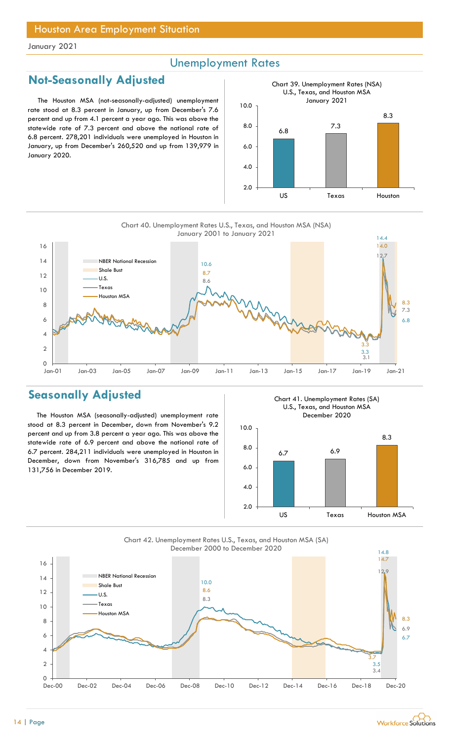## Unemployment Rates

## Not-Seasonally Adjusted

The Houston MSA (not-seasonally-adjusted) unemployment rate stood at 8.3 percent in January, up from December's 7.6 percent and up from 4.1 percent a year ago. This was above the statewide rate of 7.3 percent and above the national rate of 6.8 percent. 278,201 individuals were unemployed in Houston in January, up from December's 260,520 and up from 139,979 in January 2020.





## Seasonally Adjusted

The Houston MSA (seasonally-adjusted) unemployment rate stood at 8.3 percent in December, down from November's 9.2 percent and up from 3.8 percent a year ago. This was above the statewide rate of 6.9 percent and above the national rate of 6.7 percent. 284,211 individuals were unemployed in Houston in December, down from November's 316,785 and up from 131,756 in December 2019.

Chart 41. Unemployment Rates (SA) U.S., Texas, and Houston MSA December 2020



Chart 42. Unemployment Rates U.S., Texas, and Houston MSA (SA) December 2000 to December 2020

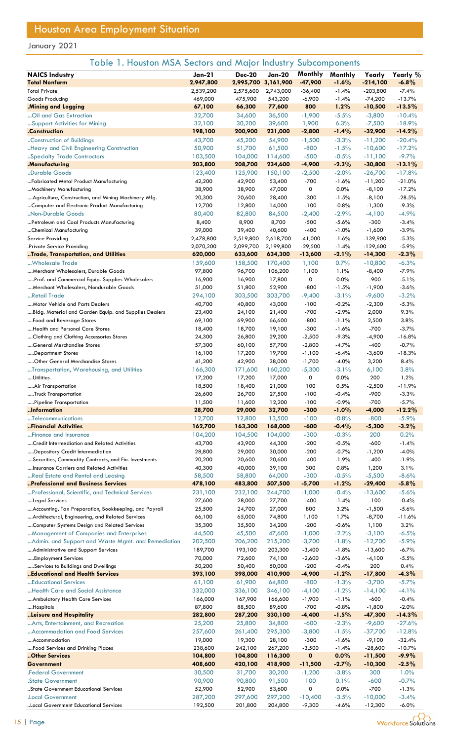| Table 1. Houston MSA Sectors and Major Industry Subcomponents |  |  |  |  |  |  |  |  |
|---------------------------------------------------------------|--|--|--|--|--|--|--|--|
|---------------------------------------------------------------|--|--|--|--|--|--|--|--|

| <b>NAICS Industry</b><br><b>Total Nonfarm</b>                                                             | Jan-21<br>2,947,800    | <b>Dec-20</b>          | $Jan-20$<br>2,995,700 3,161,900 | Monthly<br>$-47,900$ | Monthly<br>$-1.6%$ | Yearly<br>$-214,100$   | Yearly %<br>$-6.8%$  |
|-----------------------------------------------------------------------------------------------------------|------------------------|------------------------|---------------------------------|----------------------|--------------------|------------------------|----------------------|
| <b>Total Private</b>                                                                                      | 2,539,200              | 2,575,600              | 2,743,000                       | $-36,400$            | $-1.4%$            | $-203,800$             | $-7.4%$              |
| Goods Producing                                                                                           | 469,000                | 475,900                | 543,200                         | $-6,900$             | $-1.4%$            | $-74,200$              | $-13.7%$             |
| .Mining and Logging                                                                                       | 67,100                 | 66,300                 | 77,600                          | 800                  | 1.2%               | $-10,500$              | $-13.5%$             |
| Oil and Gas Extraction                                                                                    | 32,700                 | 34,600                 | 36,500                          | $-1,900$             | $-5.5%$            | $-3,800$               | $-10.4%$             |
| Support Activities for Mining                                                                             | 32,100                 | 30,200                 | 39,600                          | 1,900                | 6.3%               | $-7,500$               | $-18.9%$             |
| .Construction<br>Construction of Buildings                                                                | 198,100<br>43,700      | 200,900<br>45,200      | 231,000<br>54,900               | $-2,800$<br>$-1,500$ | $-1.4%$<br>$-3.3%$ | $-32,900$<br>$-11,200$ | $-14.2%$<br>$-20.4%$ |
| Heavy and Civil Engineering Construction                                                                  | 50,900                 | 51,700                 | 61,500                          | $-800$               | $-1.5%$            | $-10,600$              | $-17.2%$             |
| Specialty Trade Contractors                                                                               | 103,500                | 104,000                | 114,600                         | $-500$               | $-0.5%$            | $-11,100$              | $-9.7\%$             |
| .Manufacturing                                                                                            | 203,800                | 208,700                | 234,600                         | $-4,900$             | $-2.3%$            | $-30,800$              | $-13.1%$             |
| "Durable Goods                                                                                            | 123,400                | 125,900                | 150,100                         | $-2,500$             | $-2.0\%$           | $-26,700$              | $-17.8%$             |
| Fabricated Metal Product Manufacturing                                                                    | 42,200<br>38,900       | 42,900<br>38,900       | 53,400<br>47,000                | -700<br>0            | $-1.6%$<br>0.0%    | $-11,200$<br>$-8,100$  | $-21.0%$<br>$-17.2%$ |
| Machinery Manufacturing<br>Agriculture, Construction, and Mining Machinery Mfg.                           | 20,300                 | 20,600                 | 28,400                          | -300                 | $-1.5%$            | $-8,100$               | $-28.5%$             |
| Computer and Electronic Product Manufacturing                                                             | 12,700                 | 12,800                 | 14,000                          | $-100$               | $-0.8%$            | $-1,300$               | $-9.3%$              |
| "Non-Durable Goods                                                                                        | 80,400                 | 82,800                 | 84,500                          | $-2,400$             | $-2.9%$            | $-4,100$               | $-4.9%$              |
| Petroleum and Coal Products Manufacturing                                                                 | 8,400                  | 8,900                  | 8,700                           | $-500$               | $-5.6%$            | $-300$                 | $-3.4%$              |
| Chemical Manufacturing                                                                                    | 39,000                 | 39,400                 | 40,600                          | $-400$               | $-1.0%$            | $-1,600$               | $-3.9%$              |
| Service Providing<br>Private Service Providing.                                                           | 2,478,800<br>2,070,200 | 2,519,800<br>2,099,700 | 2,618,700<br>2,199,800          | -41,000<br>$-29,500$ | $-1.6%$<br>$-1.4%$ | -139,900<br>-129,600   | $-5.3%$<br>$-5.9%$   |
| Trade, Transportation, and Utilities                                                                      | 620,000                | 633,600                | 634,300                         | $-13,600$            | $-2.1\%$           | $-14,300$              | $-2.3%$              |
| Wholesale Trade                                                                                           | 159,600                | 158,500                | 170,400                         | 1,100                | 0.7%               | $-10,800$              | $-6.3%$              |
| Merchant Wholesalers, Durable Goods                                                                       | 97,800                 | 96,700                 | 106,200                         | 1,100                | 1.1%               | $-8,400$               | $-7.9%$              |
| Prof. and Commercial Equip. Supplies Wholesalers                                                          | 16,900                 | 16,900                 | 17,800                          | 0                    | 0.0%               | -900                   | $-5.1%$              |
| Merchant Wholesalers, Nondurable Goods                                                                    | 51,000                 | 51,800                 | 52,900                          | -800                 | $-1.5%$            | $-1,900$               | $-3.6%$              |
| Retail Trade<br>Motor Vehicle and Parts Dealers                                                           | 294,100<br>40,700      | 303,500<br>40,800      | 303,700<br>43,000               | $-9,400$<br>$-100$   | $-3.1%$<br>$-0.2%$ | $-9,600$<br>$-2,300$   | $-3.2%$<br>$-5.3%$   |
| Bldg. Material and Garden Equip. and Supplies Dealers                                                     | 23,400                 | 24,100                 | 21,400                          | $-700$               | $-2.9%$            | 2,000                  | 9.3%                 |
| Food and Beverage Stores                                                                                  | 69,100                 | 69,900                 | 66,600                          | -800                 | $-1.1%$            | 2,500                  | 3.8%                 |
| Health and Personal Care Stores                                                                           | 18,400                 | 18,700                 | 19,100                          | $-300$               | $-1.6%$            | $-700$                 | $-3.7%$              |
| Clothing and Clothing Accessories Stores                                                                  | 24,300                 | 26,800                 | 29,200                          | $-2,500$             | $-9.3%$            | $-4,900$               | $-16.8%$             |
| General Merchandise Stores                                                                                | 57,300                 | 60,100                 | 57,700                          | $-2,800$             | $-4.7%$            | $-400$                 | $-0.7%$              |
| Department Stores<br>Other General Merchandise Stores                                                     | 16,100<br>41,200       | 17,200<br>42,900       | 19,700<br>38,000                | $-1,100$<br>$-1,700$ | $-6.4%$<br>$-4.0%$ | $-3,600$<br>3,200      | $-18.3%$<br>8.4%     |
| Transportation, Warehousing, and Utilities                                                                | 166,300                | 171,600                | 160,200                         | $-5,300$             | $-3.1%$            | 6,100                  | 3.8%                 |
| Utilities                                                                                                 | 17,200                 | 17,200                 | 17,000                          | 0                    | 0.0%               | 200                    | 1.2%                 |
| Air Transportation                                                                                        | 18,500                 | 18,400                 | 21,000                          | 100                  | 0.5%               | $-2,500$               | $-11.9%$             |
| Truck Transportation                                                                                      | 26,600                 | 26,700                 | 27,500                          | $-100$               | $-0.4%$            | -900                   | $-3.3%$              |
| Pipeline Transportation<br>Information                                                                    | 11,500<br>28,700       | 11,600<br>29,000       | 12,200<br>32,700                | $-100$<br>$-300$     | $-0.9%$<br>$-1.0%$ | $-700$<br>$-4,000$     | $-5.7%$<br>$-12.2%$  |
| Telecommunications                                                                                        | 12,700                 | 12,800                 | 13,500                          | $-100$               | $-0.8%$            | $-800$                 | $-5.9%$              |
| Financial Activities                                                                                      | 162,700                | 163,300                | 168,000                         | $-600$               | $-0.4%$            | $-5,300$               | $-3.2%$              |
| Finance and Insurance                                                                                     | 104,200                | 104,500                | 104,000                         | $-300$               | $-0.3%$            | 200                    | 0.2%                 |
| Credit Intermediation and Related Activities                                                              | 43,700                 | 43,900                 | 44,300                          | $-200$               | $-0.5%$            | $-600$                 | $-1.4%$              |
| Depository Credit Intermediation<br>Securities, Commodity Contracts, and Fin. Investments                 | 28,800                 | 29,000                 | 30,000<br>20,600                | $-200$<br>$-400$     | $-0.7%$<br>$-1.9%$ | $-1,200$<br>$-400$     | $-4.0%$<br>$-1.9%$   |
| Insurance Carriers and Related Activities                                                                 | 20,200<br>40,300       | 20,600<br>40,000       | 39,100                          | 300                  | 0.8%               | 1,200                  | 3.1%                 |
| Real Estate and Rental and Leasing                                                                        | 58,500                 | 58,800                 | 64,000                          | $-300$               | $-0.5%$            | $-5,500$               | $-8.6%$              |
| Professional and Business Services                                                                        | 478,100                | 483,800                | 507,500                         | $-5,700$             | $-1.2%$            | $-29,400$              | $-5.8%$              |
| Professional, Scientific, and Technical Services                                                          | 231,100                | 232,100                | 244,700                         | $-1,000$             | $-0.4%$            | $-13,600$              | $-5.6%$              |
| Legal Services                                                                                            | 27,600                 | 28,000                 | 27,700                          | $-400$               | $-1.4%$            | $-100$                 | $-0.4%$              |
| Accounting, Tax Preparation, Bookkeeping, and Payroll<br>Architectural, Engineering, and Related Services | 25,500<br>66,100       | 24,700<br>65,000       | 27,000<br>74,800                | 800<br>1,100         | 3.2%<br>1.7%       | $-1,500$<br>$-8,700$   | $-5.6%$<br>$-11.6%$  |
| Computer Systems Design and Related Services                                                              | 35,300                 | 35,500                 | 34,200                          | $-200$               | $-0.6%$            | 1,100                  | 3.2%                 |
| Management of Companies and Enterprises                                                                   | 44,500                 | 45,500                 | 47,600                          | $-1,000$             | $-2.2%$            | $-3,100$               | $-6.5%$              |
| Admin. and Support and Waste Mgmt. and Remediation                                                        | 202,500                | 206,200                | 215,200                         | $-3,700$             | $-1.8%$            | $-12,700$              | $-5.9%$              |
| Administrative and Support Services                                                                       | 189,700                | 193,100                | 203,300                         | $-3,400$             | $-1.8%$            | $-13,600$              | $-6.7%$              |
| Employment Services<br>Services to Buildings and Dwellings                                                | 70,000<br>50,200       | 72,600<br>50,400       | 74,100<br>50,000                | $-2,600$<br>$-200$   | $-3.6%$<br>$-0.4%$ | $-4,100$<br>200        | $-5.5%$<br>0.4%      |
| Educational and Health Services                                                                           | 393,100                | 398,000                | 410,900                         | $-4,900$             | $-1.2%$            | $-17,800$              | $-4.3%$              |
| Educational Services                                                                                      | 61,100                 | 61,900                 | 64,800                          | $-800$               | $-1.3%$            | $-3,700$               | $-5.7%$              |
| Health Care and Social Assistance                                                                         | 332,000                | 336,100                | 346,100                         | $-4,100$             | $-1.2%$            | $-14,100$              | $-4.1%$              |
| Ambulatory Health Care Services                                                                           | 166,000                | 167,900                | 166,600                         | $-1,900$             | $-1.1%$            | $-600$                 | $-0.4%$              |
| Hospitals                                                                                                 | 87,800                 | 88,500                 | 89,600                          | $-700$               | $-0.8%$            | $-1,800$               | $-2.0%$              |
| Leisure and Hospitality<br>Arts, Entertainment, and Recreation                                            | 282,800<br>25,200      | 287,200<br>25,800      | 330,100<br>34,800               | $-4,400$<br>$-600$   | $-1.5%$<br>$-2.3%$ | $-47,300$<br>$-9,600$  | $-14.3%$<br>$-27.6%$ |
| Accommodation and Food Services                                                                           | 257,600                | 261,400                | 295,300                         | $-3,800$             | $-1.5%$            | $-37,700$              | $-12.8%$             |
| Accommodation                                                                                             | 19,000                 | 19,300                 | 28,100                          | $-300$               | $-1.6%$            | $-9,100$               | $-32.4%$             |
| Food Services and Drinking Places                                                                         | 238,600                | 242,100                | 267,200                         | $-3,500$             | $-1.4%$            | $-28,600$              | $-10.7%$             |
| Other Services                                                                                            | 104,800                | 104,800                | 116,300                         | 0                    | $0.0\%$            | $-11,500$              | $-9.9%$              |
| <b>Government</b>                                                                                         | 408,600                | 420,100                | 418,900                         | $-11,500$            | $-2.7\%$           | $-10,300$              | $-2.5%$              |
| <b>Federal Government</b><br><b>State Government</b>                                                      | 30,500<br>90,900       | 31,700<br>90,800       | 30,200<br>91,500                | $-1,200$<br>100      | $-3.8%$<br>0.1%    | 300<br>$-600$          | 1.0%<br>$-0.7%$      |
| State Government Educational Services                                                                     | 52,900                 | 52,900                 | 53,600                          | 0                    | 0.0%               | $-700$                 | $-1.3%$              |
| <b>Local Government</b>                                                                                   | 287,200                | 297,600                | 297,200                         | $-10,400$            | $-3.5%$            | $-10,000$              | $-3.4%$              |
| Local Government Educational Services                                                                     | 192,500                | 201,800                | 204,800                         | $-9,300$             | $-4.6%$            | $-12,300$              | $-6.0%$              |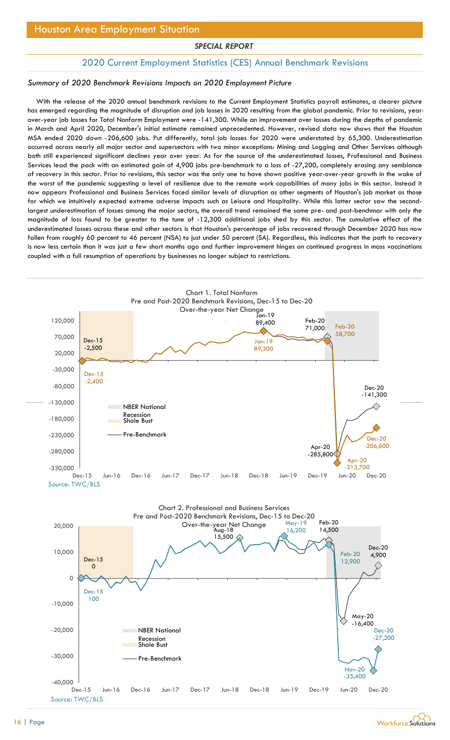### SPECIAL REPORT

### 2020 Current Employment Statistics (CES) Annual Benchmark Revisions

#### Summary of 2020 Benchmark Revisions Impacts on 2020 Employment Picture

With the release of the 2020 annual benchmark revisions to the Current Employment Statistics payroll estimates, a clearer picture has emerged regarding the magnitude of disruption and job losses in 2020 resulting from the global pandemic. Prior to revisions, yearover-year job losses for Total Nonfarm Employment were -141,300. While an improvement over losses during the depths of pandemic in March and April 2020, December's initial estimate remained unprecedented. However, revised data now shows that the Houston MSA ended 2020 down -206,600 jobs. Put differently, total job losses for 2020 were understated by 65,300. Underestimation occurred across nearly all major sector and supersectors with two minor exceptions: Mining and Logging and Other Services although both still experienced significant declines year over year. As for the source of the underestimated losses, Professional and Business Services lead the pack with an estimated gain of 4,900 jobs pre-benchmark to a loss of -27,200, completely erasing any semblance of recovery in this sector. Prior to revisions, this sector was the only one to have shown positive year-over-year growth in the wake of the worst of the pandemic suggesting a level of resilience due to the remote work capabilities of many jobs in this sector. Instead it now appears Professional and Business Services faced similar levels of disruption as other segments of Houston's job market as those for which we intuitively expected extreme adverse impacts such as Leisure and Hospitality. While this latter sector saw the secondlargest underestimation of losses among the major sectors, the overall trend remained the same pre- and post-benchmar with only the magnitude of loss found to be greater to the tune of -12,300 additional jobs shed by this sector. The cumulative effect of the underestimated losses across these and other sectors is that Houston's percentage of jobs recovered through December 2020 has now fallen from roughly 60 percent to 46 percent (NSA) to just under 50 percent (SA). Regardless, this indicates that the path to recovery is now less certain than it was just a few short months ago and further improvement hinges on continued progress in mass vaccinations coupled with a full resumption of operations by businesses no longer subject to restrictions.

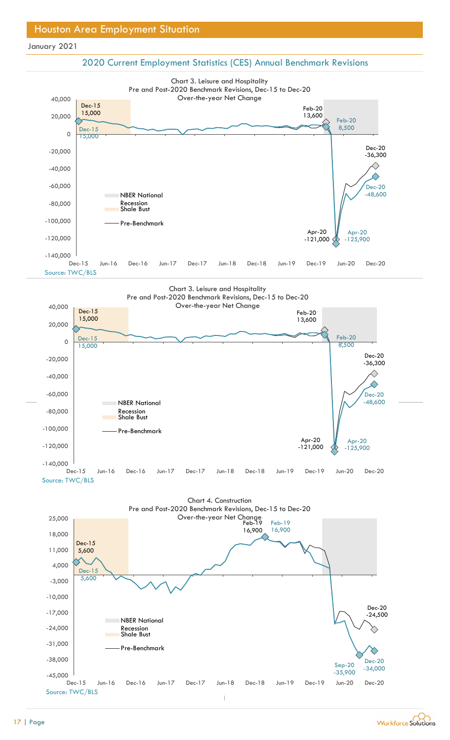## Houston Area Employment Situation

#### January 2021









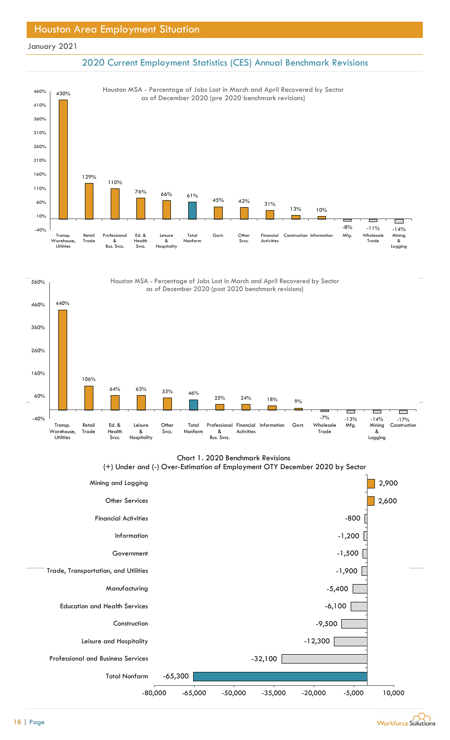## Houston Area Employment Situation

#### January 2021

### 2020 Current Employment Statistics (CES) Annual Benchmark Revisions